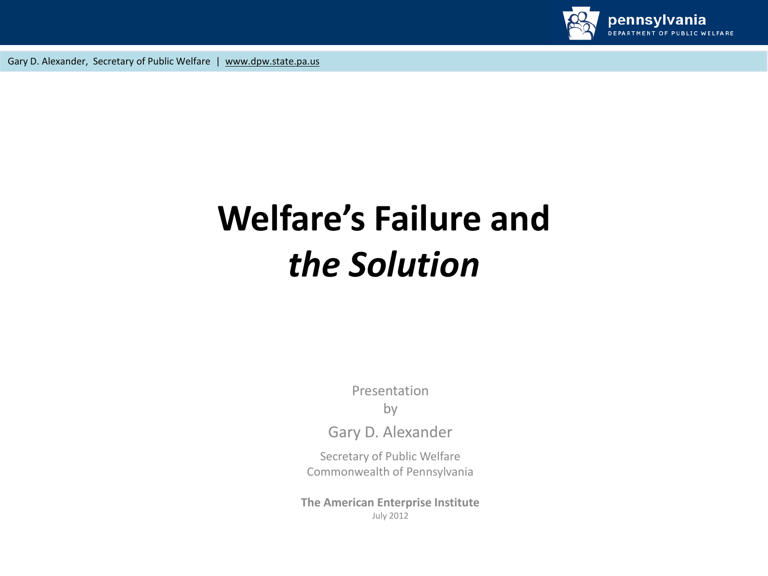

# **Welfare's Failure and** *the Solution*

Presentation

by

Gary D. Alexander

Secretary of Public Welfare Commonwealth of Pennsylvania

**The American Enterprise Institute** July 2012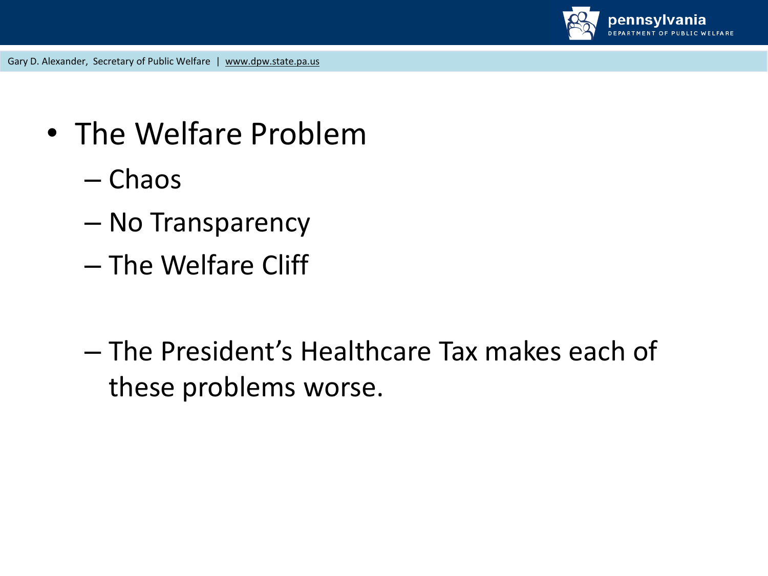

- The Welfare Problem
	- Chaos
	- No Transparency
	- The Welfare Cliff
	- The President's Healthcare Tax makes each of these problems worse.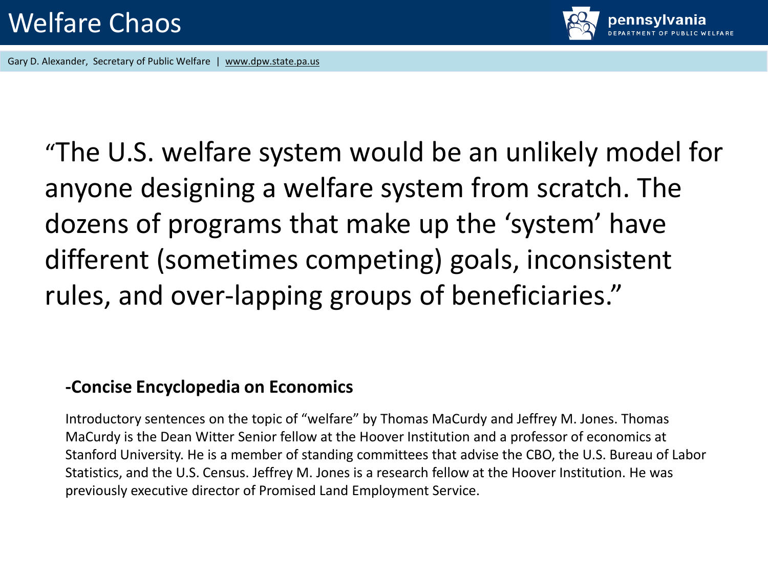

"The U.S. welfare system would be an unlikely model for anyone designing a welfare system from scratch. The dozens of programs that make up the 'system' have different (sometimes competing) goals, inconsistent rules, and over-lapping groups of beneficiaries."

#### **-Concise Encyclopedia on Economics**

Introductory sentences on the topic of "welfare" by Thomas MaCurdy and Jeffrey M. Jones. Thomas MaCurdy is the Dean Witter Senior fellow at the Hoover Institution and a professor of economics at Stanford University. He is a member of standing committees that advise the CBO, the U.S. Bureau of Labor Statistics, and the U.S. Census. Jeffrey M. Jones is a research fellow at the Hoover Institution. He was previously executive director of Promised Land Employment Service.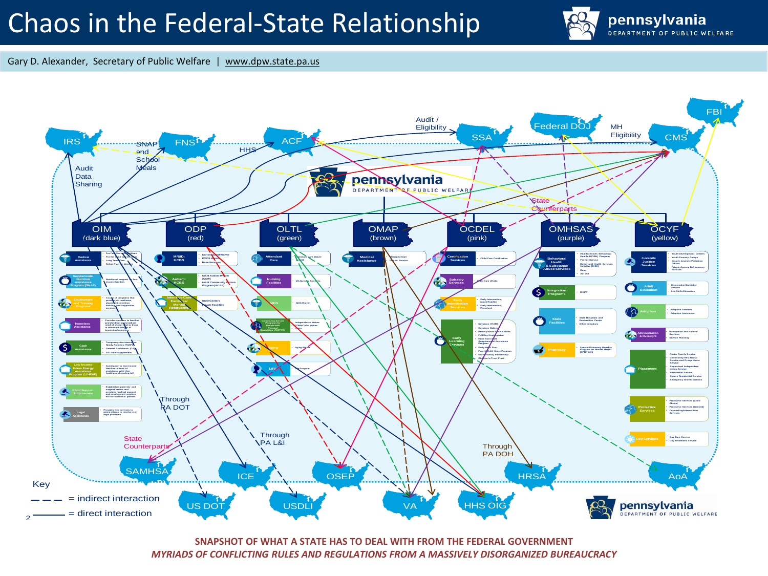## Chaos in the Federal-State Relationship



Gary D. Alexander, Secretary of Public Welfare | www.dpw.state.pa.us



**SNAPSHOT OF WHAT A STATE HAS TO DEAL WITH FROM THE FEDERAL GOVERNMENT**  *MYRIADS OF CONFLICTING RULES AND REGULATIONS FROM A MASSIVELY DISORGANIZED BUREAUCRACY*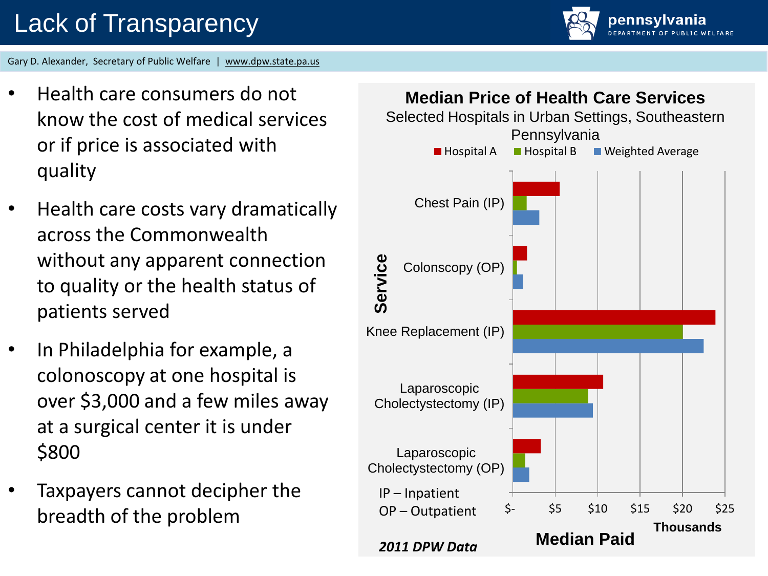pennsvlvania

- Health care consumers do not know the cost of medical services or if price is associated with quality
- Health care costs vary dramatically across the Commonwealth without any apparent connection to quality or the health status of patients served
- In Philadelphia for example, a colonoscopy at one hospital is over \$3,000 and a few miles away at a surgical center it is under \$800
- Taxpayers cannot decipher the breadth of the problem

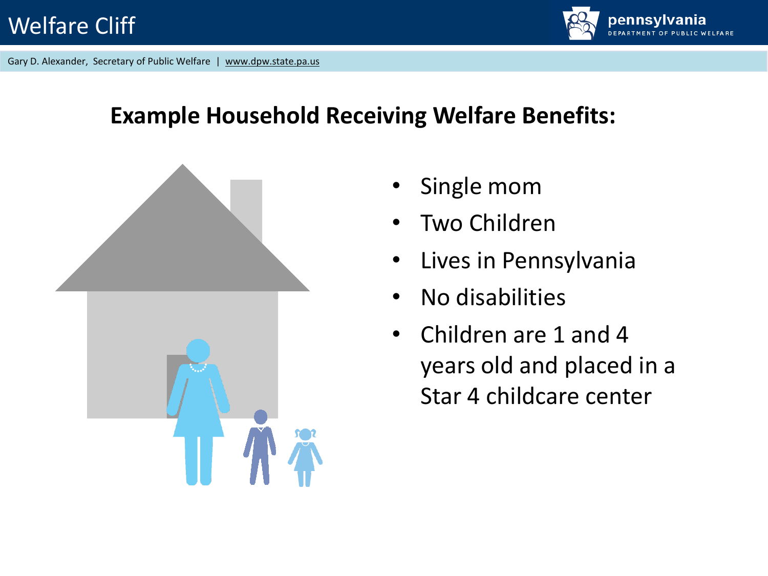

#### **Example Household Receiving Welfare Benefits:**



- Single mom
- Two Children
- Lives in Pennsylvania
- No disabilities
- Children are 1 and 4 years old and placed in a Star 4 childcare center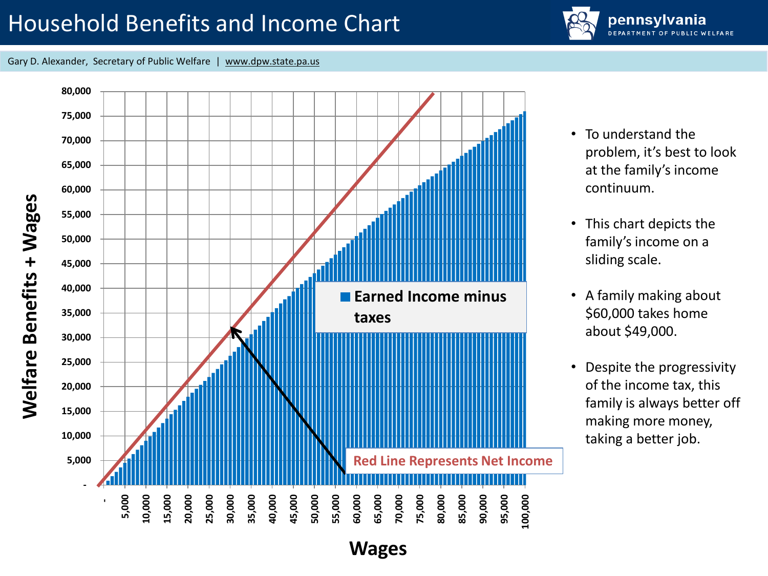### Household Benefits and Income Chart



Gary D. Alexander, Secretary of Public Welfare | www.dpw.state.pa.us



- To understand the problem, it's best to look at the family's income continuum.
- This chart depicts the family's income on a sliding scale.
- A family making about \$60,000 takes home about \$49,000.
- Despite the progressivity of the income tax, this family is always better off making more money, taking a better job.

**Wages**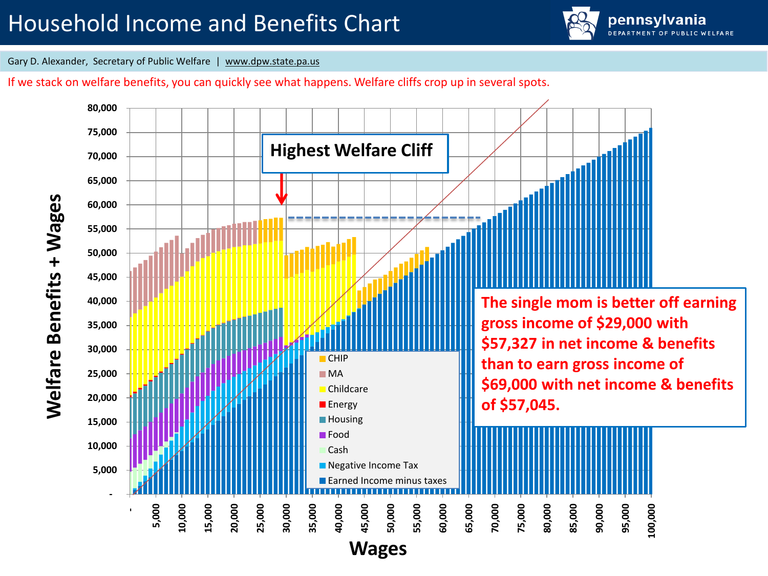## Household Income and Benefits Chart



Gary D. Alexander, Secretary of Public Welfare | www.dpw.state.pa.us

If we stack on welfare benefits, you can quickly see what happens. Welfare cliffs crop up in several spots.

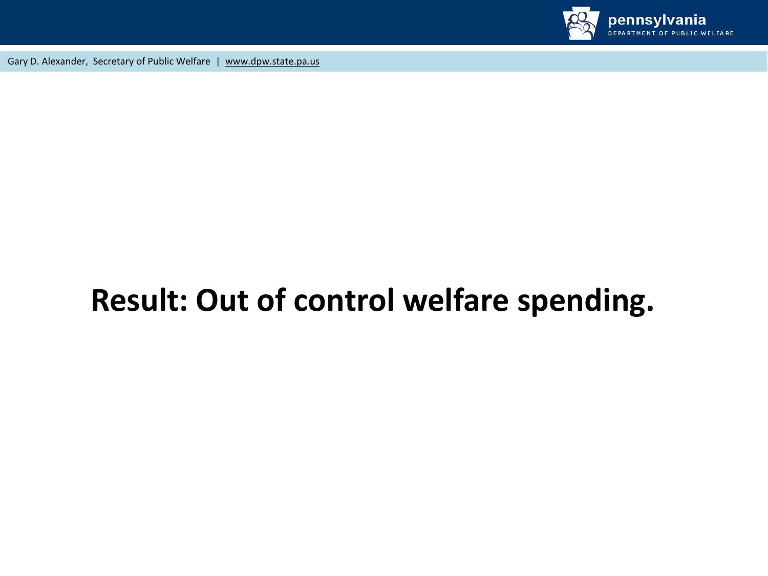

## **Result: Out of control welfare spending.**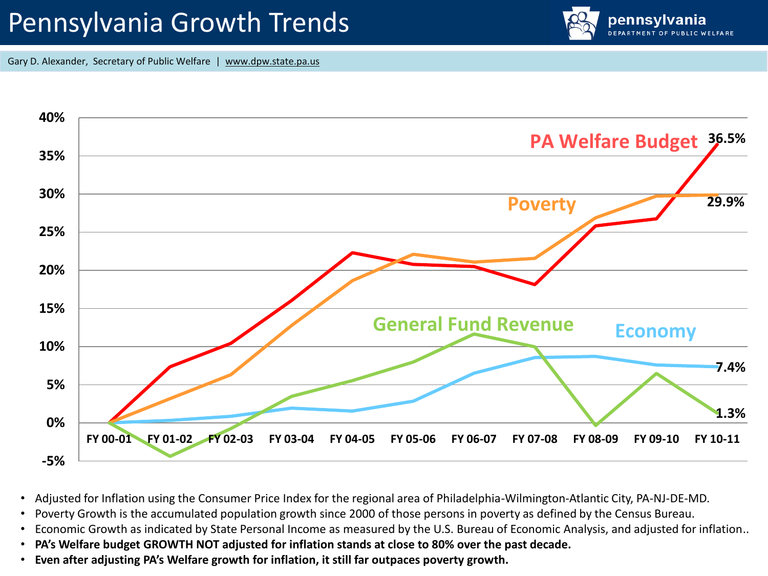## Pennsylvania Growth Trends





- Adjusted for Inflation using the Consumer Price Index for the regional area of Philadelphia-Wilmington-Atlantic City, PA-NJ-DE-MD.
- Poverty Growth is the accumulated population growth since 2000 of those persons in poverty as defined by the Census Bureau.
- Economic Growth as indicated by State Personal Income as measured by the U.S. Bureau of Economic Analysis, and adjusted for inflation..
- **PA's Welfare budget GROWTH NOT adjusted for inflation stands at close to 80% over the past decade.**
- **Even after adjusting PA's Welfare growth for inflation, it still far outpaces poverty growth.**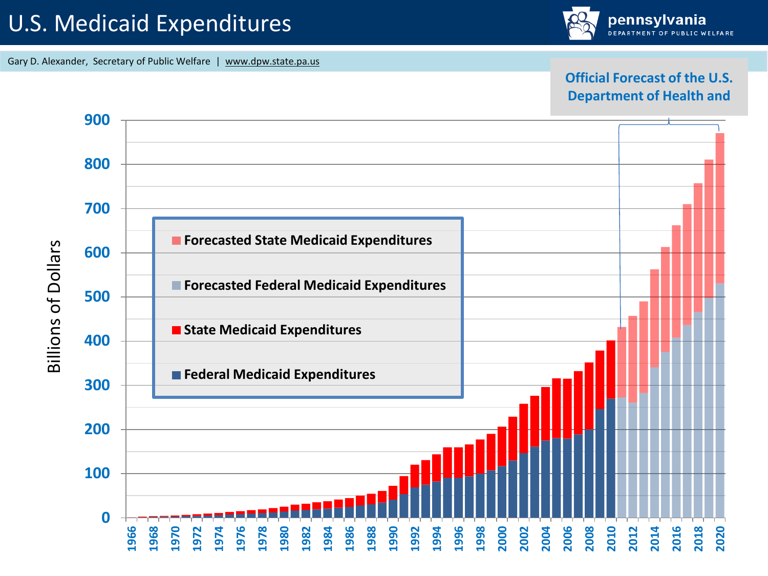#### U.S. Medicaid Expenditures

Gary D. Alexander, Secretary of Public Welfare | www.dpw.state.pa.us

#### **Official Forecast of the U.S. Department of Health and**

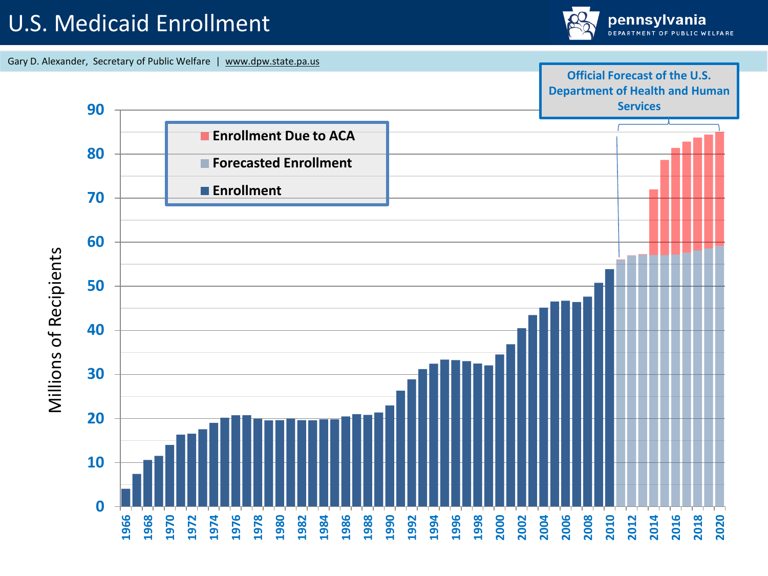#### U.S. Medicaid Enrollment





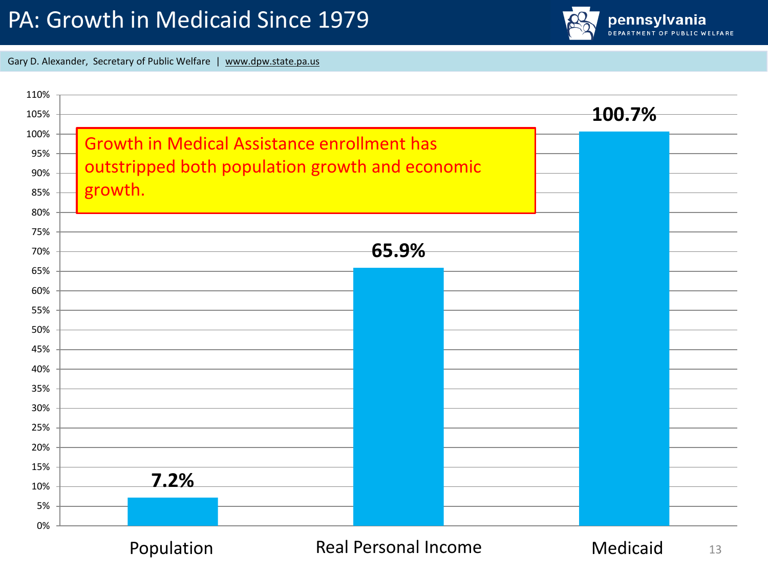#### PA: Growth in Medicaid Since 1979



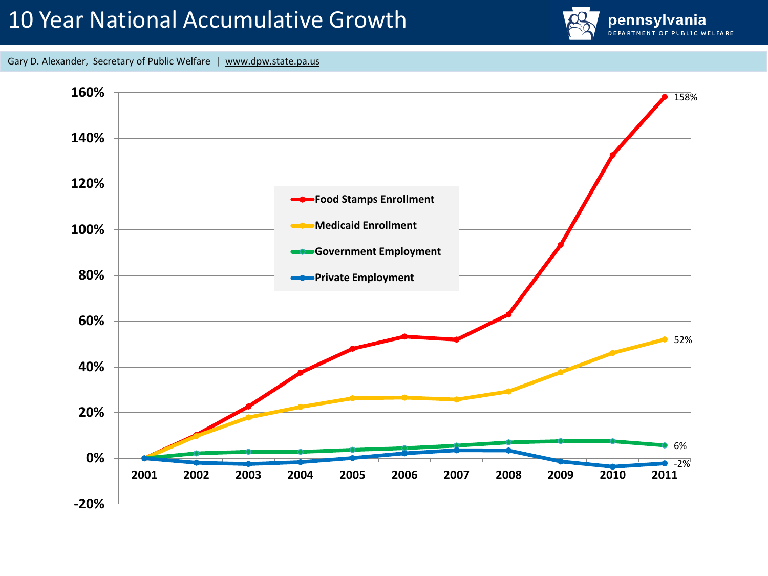#### 10 Year National Accumulative Growth



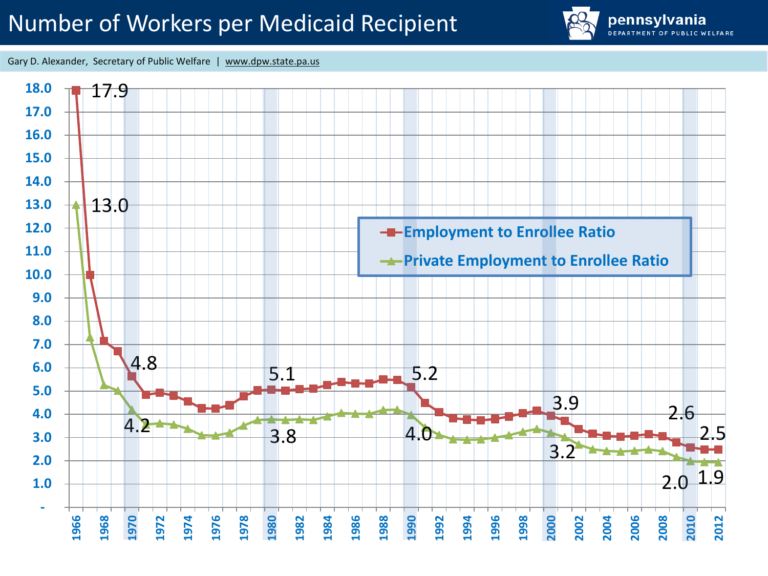### Number of Workers per Medicaid Recipient



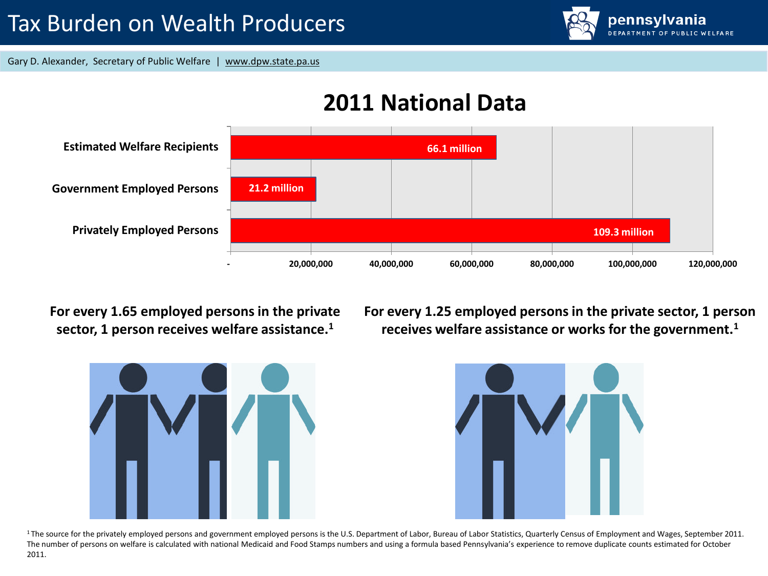

#### **2011 National Data**



**For every 1.65 employed persons in the private sector, 1 person receives welfare assistance.<sup>1</sup>**

**For every 1.25 employed persons in the private sector, 1 person receives welfare assistance or works for the government.<sup>1</sup>**



<sup>1</sup>The source for the privately employed persons and government employed persons is the U.S. Department of Labor, Bureau of Labor Statistics, Quarterly Census of Employment and Wages, September 2011. The number of persons on welfare is calculated with national Medicaid and Food Stamps numbers and using a formula based Pennsylvania's experience to remove duplicate counts estimated for October 2011.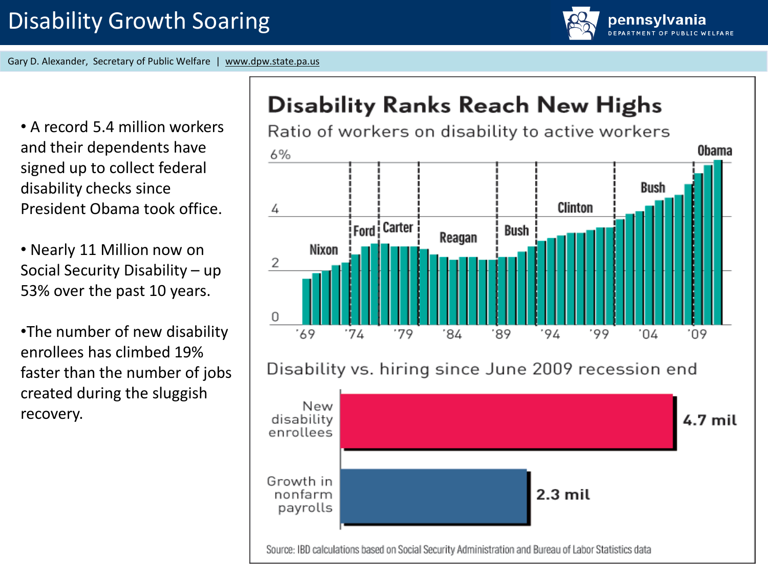pennsylvania

• A record 5.4 million workers and their dependents have signed up to collect federal disability checks since President Obama took office.

• Nearly 11 Million now on Social Security Disability – up 53% over the past 10 years.

•The number of new disability enrollees has climbed 19% faster than the number of jobs created during the sluggish recovery.

## **Disability Ranks Reach New Highs**



#### Disability vs. hiring since June 2009 recession end



Source: IBD calculations based on Social Security Administration and Bureau of Labor Statistics data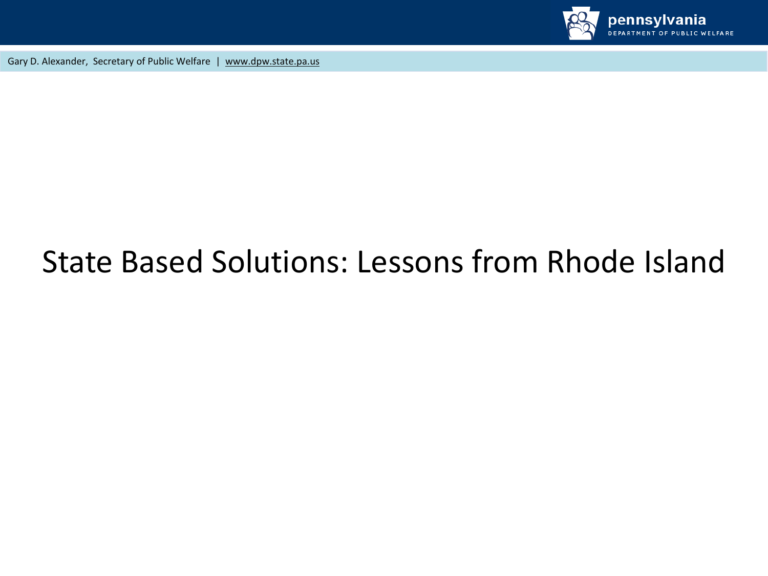

## State Based Solutions: Lessons from Rhode Island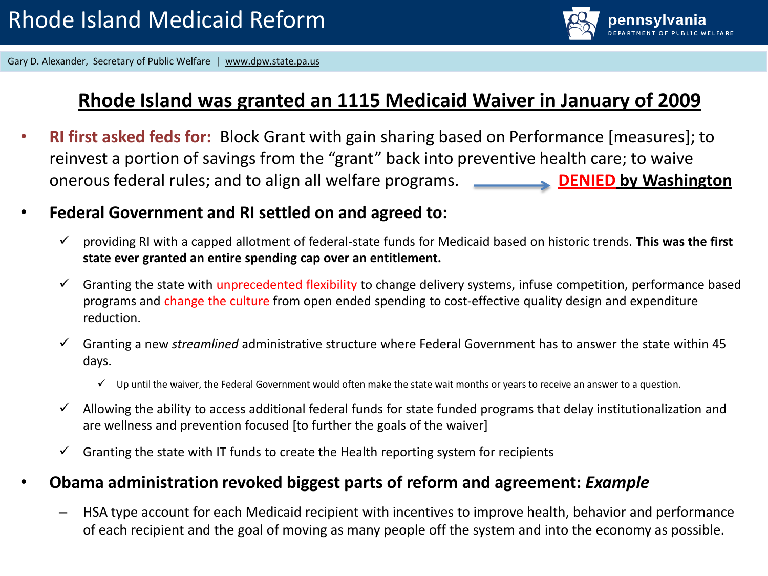

#### **Rhode Island was granted an 1115 Medicaid Waiver in January of 2009**

- **RI first asked feds for:** Block Grant with gain sharing based on Performance [measures]; to reinvest a portion of savings from the "grant" back into preventive health care; to waive onerous federal rules; and to align all welfare programs. **DENIED by Washington**
- **Federal Government and RI settled on and agreed to:**
	- providing RI with a capped allotment of federal-state funds for Medicaid based on historic trends. **This was the first state ever granted an entire spending cap over an entitlement.**
	- $\checkmark$  Granting the state with unprecedented flexibility to change delivery systems, infuse competition, performance based programs and change the culture from open ended spending to cost-effective quality design and expenditure reduction.
	- Granting a new *streamlined* administrative structure where Federal Government has to answer the state within 45 days.
		- $\checkmark$  Up until the waiver, the Federal Government would often make the state wait months or years to receive an answer to a question.
	- $\checkmark$  Allowing the ability to access additional federal funds for state funded programs that delay institutionalization and are wellness and prevention focused [to further the goals of the waiver]
	- $\checkmark$  Granting the state with IT funds to create the Health reporting system for recipients

#### • **Obama administration revoked biggest parts of reform and agreement:** *Example*

– HSA type account for each Medicaid recipient with incentives to improve health, behavior and performance of each recipient and the goal of moving as many people off the system and into the economy as possible.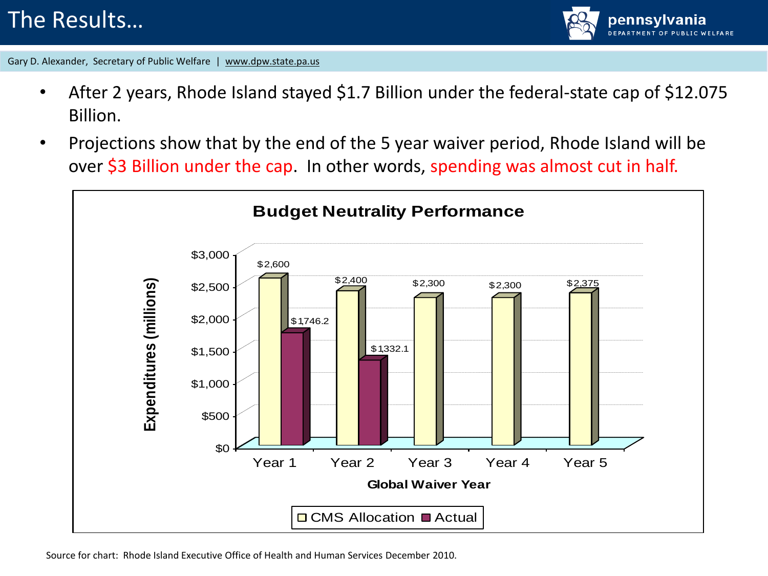#### The Results…



- After 2 years, Rhode Island stayed \$1.7 Billion under the federal-state cap of \$12.075 Billion.
- Projections show that by the end of the 5 year waiver period, Rhode Island will be over \$3 Billion under the cap. In other words, spending was almost cut in half.

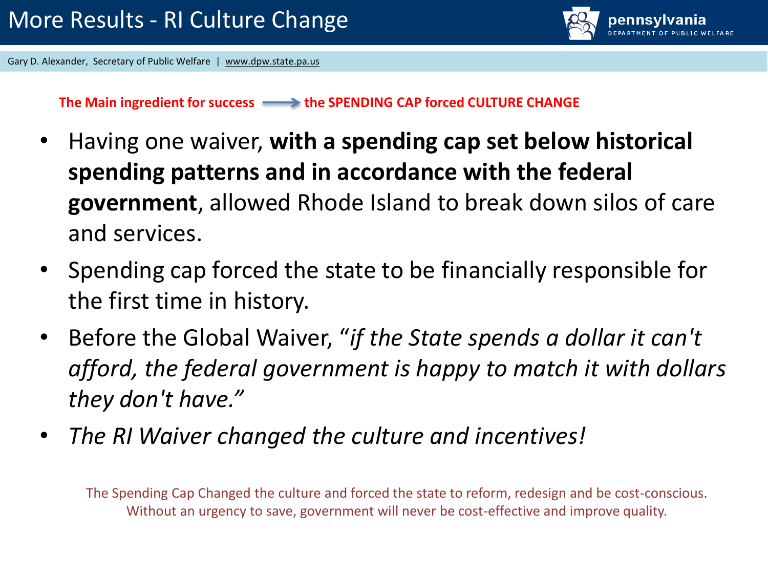

**The Main ingredient for success the SPENDING CAP forced CULTURE CHANGE**

- Having one waiver, **with a spending cap set below historical spending patterns and in accordance with the federal government**, allowed Rhode Island to break down silos of care and services.
- Spending cap forced the state to be financially responsible for the first time in history.
- Before the Global Waiver, "*if the State spends a dollar it can't afford, the federal government is happy to match it with dollars they don't have."*
- *The RI Waiver changed the culture and incentives!*

The Spending Cap Changed the culture and forced the state to reform, redesign and be cost-conscious. Without an urgency to save, government will never be cost-effective and improve quality.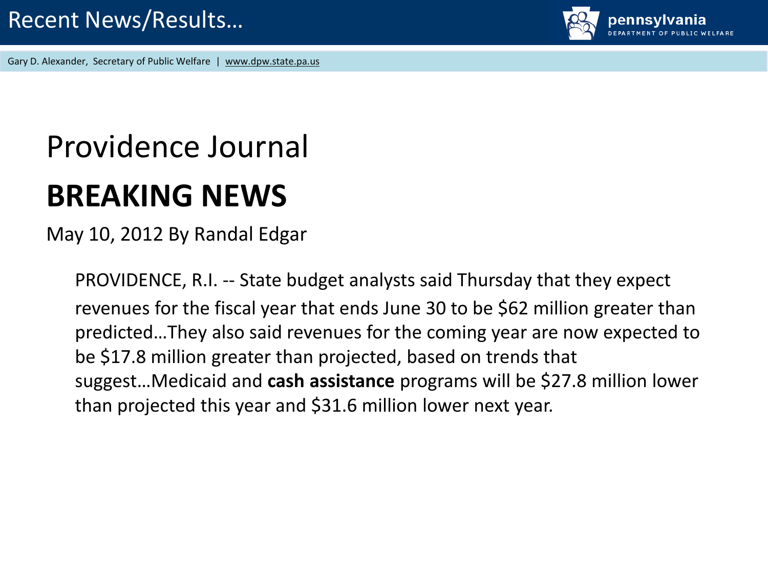

# Providence Journal **BREAKING NEWS**

May 10, 2012 By Randal Edgar

PROVIDENCE, R.I. -- State budget analysts said Thursday that they expect revenues for the fiscal year that ends June 30 to be \$62 million greater than predicted…They also said revenues for the coming year are now expected to be \$17.8 million greater than projected, based on trends that suggest…Medicaid and **cash assistance** programs will be \$27.8 million lower than projected this year and \$31.6 million lower next year.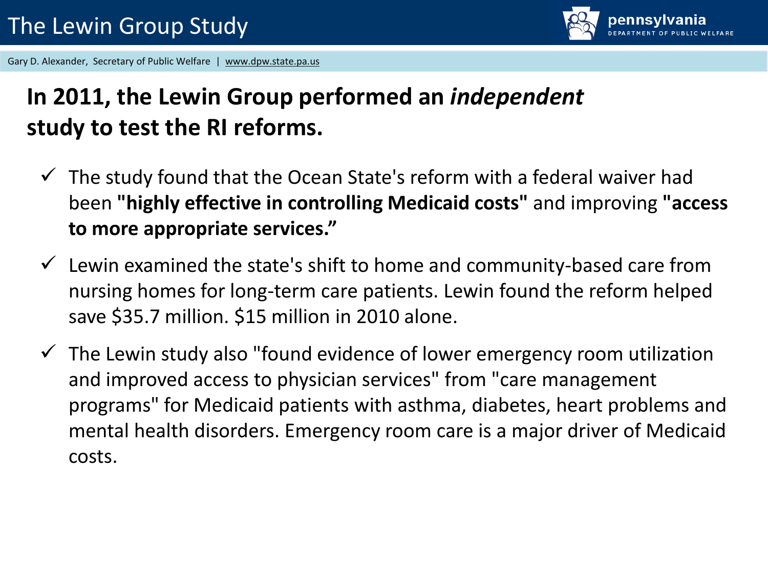

## **In 2011, the Lewin Group performed an** *independent* **study to test the RI reforms.**

- $\checkmark$  The study found that the Ocean State's reform with a federal waiver had been **"highly effective in controlling Medicaid costs"** and improving **"access to more appropriate services."**
- $\checkmark$  Lewin examined the state's shift to home and community-based care from nursing homes for long-term care patients. Lewin found the reform helped save \$35.7 million. \$15 million in 2010 alone.
- $\checkmark$  The Lewin study also "found evidence of lower emergency room utilization and improved access to physician services" from "care management programs" for Medicaid patients with asthma, diabetes, heart problems and mental health disorders. Emergency room care is a major driver of Medicaid costs.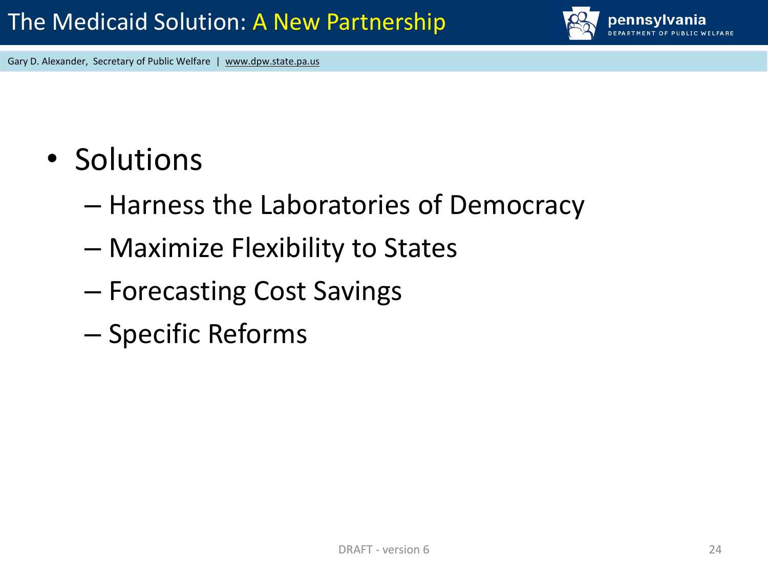- Solutions
	- Harness the Laboratories of Democracy
	- Maximize Flexibility to States
	- Forecasting Cost Savings
	- Specific Reforms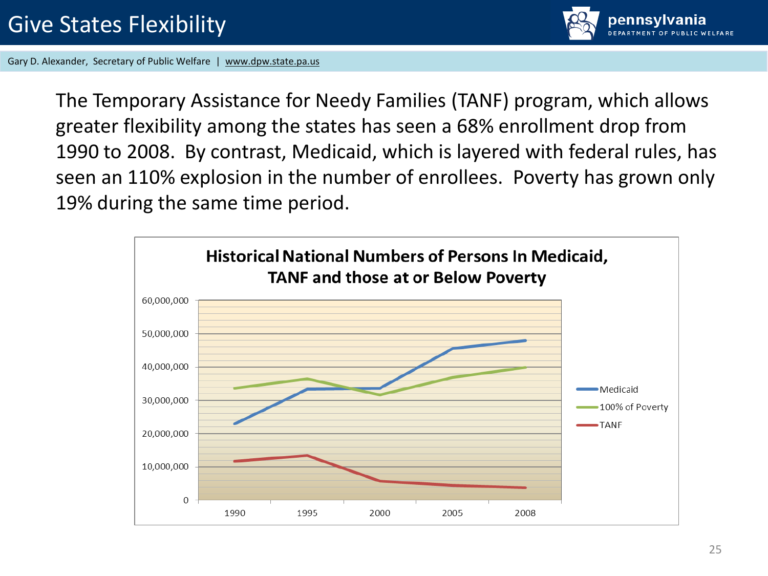

The Temporary Assistance for Needy Families (TANF) program, which allows greater flexibility among the states has seen a 68% enrollment drop from 1990 to 2008. By contrast, Medicaid, which is layered with federal rules, has seen an 110% explosion in the number of enrollees. Poverty has grown only 19% during the same time period.

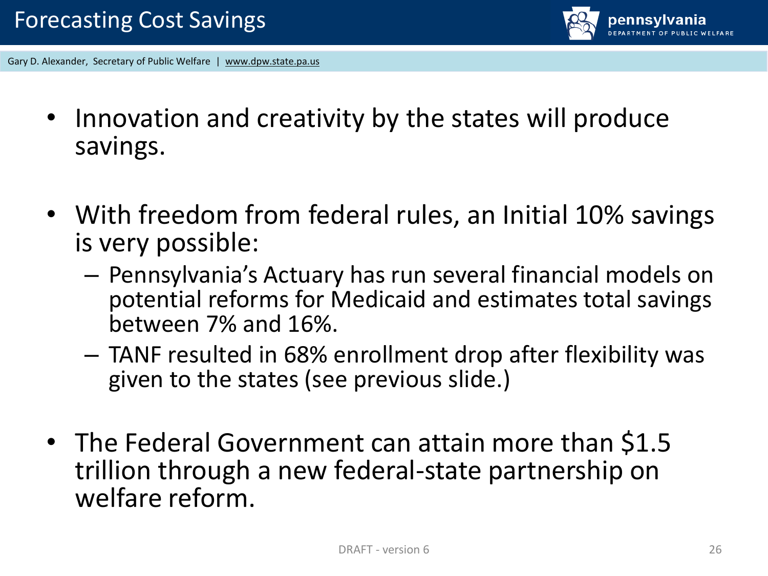

- Innovation and creativity by the states will produce savings.
- With freedom from federal rules, an Initial 10% savings is very possible:
	- Pennsylvania's Actuary has run several financial models on potential reforms for Medicaid and estimates total savings between 7% and 16%.
	- TANF resulted in 68% enrollment drop after flexibility was given to the states (see previous slide.)
- The Federal Government can attain more than \$1.5 trillion through a new federal-state partnership on welfare reform.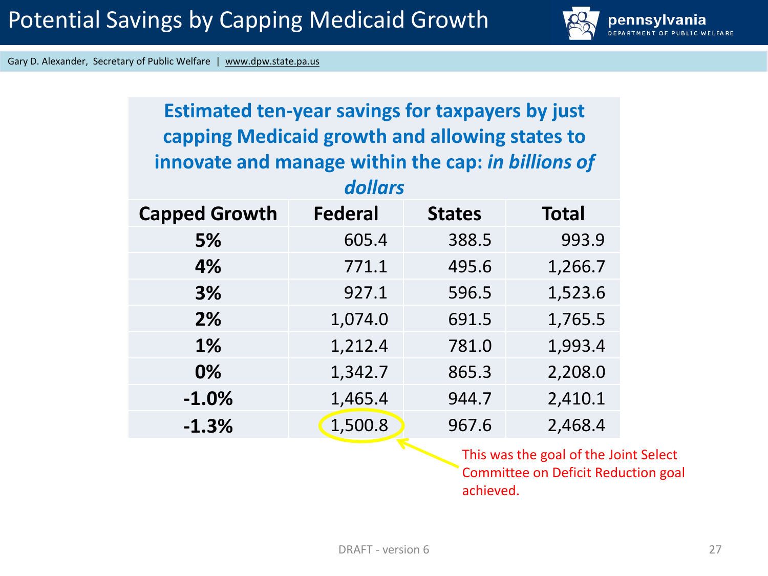

| <b>Estimated ten-year savings for taxpayers by just</b><br>capping Medicaid growth and allowing states to<br>innovate and manage within the cap: in billions of<br>dollars |                |               |              |
|----------------------------------------------------------------------------------------------------------------------------------------------------------------------------|----------------|---------------|--------------|
| <b>Capped Growth</b>                                                                                                                                                       | <b>Federal</b> | <b>States</b> | <b>Total</b> |
| 5%                                                                                                                                                                         | 605.4          | 388.5         | 993.9        |
| 4%                                                                                                                                                                         | 771.1          | 495.6         | 1,266.7      |
| 3%                                                                                                                                                                         | 927.1          | 596.5         | 1,523.6      |
| 2%                                                                                                                                                                         | 1,074.0        | 691.5         | 1,765.5      |
| 1%                                                                                                                                                                         | 1,212.4        | 781.0         | 1,993.4      |
| 0%                                                                                                                                                                         | 1,342.7        | 865.3         | 2,208.0      |
| $-1.0%$                                                                                                                                                                    | 1,465.4        | 944.7         | 2,410.1      |
| $-1.3%$                                                                                                                                                                    | 1,500.8        | 967.6         | 2,468.4      |
| This was the seel of the le                                                                                                                                                |                |               |              |

This was the goal of the Joint Select Committee on Deficit Reduction goal achieved.